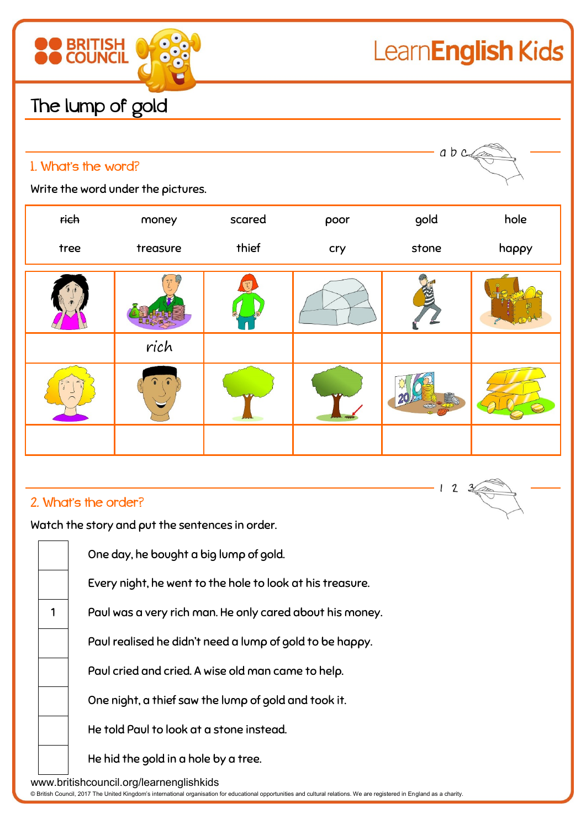

 $\mathbf{2}$  $\mathbf{3}$ 

## **BRITISH**<br>COUNCIL 88

### The lump of gold

| a b c<br>1. What's the word?<br>Write the word under the pictures. |      |          |        |      |       |       |  |  |
|--------------------------------------------------------------------|------|----------|--------|------|-------|-------|--|--|
|                                                                    | rich | money    | scared | poor | gold  | hole  |  |  |
|                                                                    | tree | treasure | thief  | cry  | stone | happy |  |  |
|                                                                    |      |          |        |      |       |       |  |  |
|                                                                    |      | rich     |        |      |       |       |  |  |
|                                                                    |      |          |        |      |       |       |  |  |

I

#### 2. What's the order?

Watch the story and put the sentences in order.

|                                         | One day, he bought a big lump of gold.                    |  |  |  |  |  |
|-----------------------------------------|-----------------------------------------------------------|--|--|--|--|--|
|                                         | Every night, he went to the hole to look at his treasure. |  |  |  |  |  |
| 1                                       | Paul was a very rich man. He only cared about his money.  |  |  |  |  |  |
|                                         | Paul realised he didn't need a lump of gold to be happy.  |  |  |  |  |  |
|                                         | Paul cried and cried. A wise old man came to help.        |  |  |  |  |  |
|                                         | One night, a thief saw the lump of gold and took it.      |  |  |  |  |  |
|                                         | He told Paul to look at a stone instead.                  |  |  |  |  |  |
|                                         | He hid the gold in a hole by a tree.                      |  |  |  |  |  |
| www.britishcouncil.org/learnenglishkids |                                                           |  |  |  |  |  |

© British Council, 2017 The United Kingdom's international organisation for educational opportunities and cultural relations. We are registered in England as a charity.